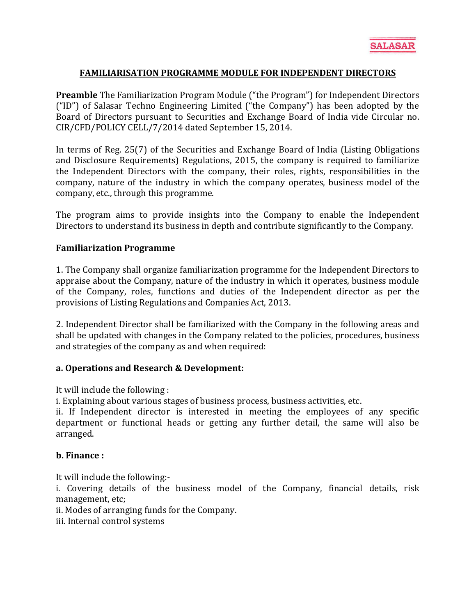## **FAMILIARISATION PROGRAMME MODULE FOR INDEPENDENT DIRECTORS**

**Preamble** The Familiarization Program Module ("the Program") for Independent Directors ("ID") of Salasar Techno Engineering Limited ("the Company") has been adopted by the Board of Directors pursuant to Securities and Exchange Board of India vide Circular no. CIR/CFD/POLICY CELL/7/2014 dated September 15, 2014.

In terms of Reg. 25(7) of the Securities and Exchange Board of India (Listing Obligations and Disclosure Requirements) Regulations, 2015, the company is required to familiarize the Independent Directors with the company, their roles, rights, responsibilities in the company, nature of the industry in which the company operates, business model of the company, etc., through this programme.

The program aims to provide insights into the Company to enable the Independent Directors to understand its business in depth and contribute significantly to the Company.

#### **Familiarization Programme**

1. The Company shall organize familiarization programme for the Independent Directors to appraise about the Company, nature of the industry in which it operates, business module of the Company, roles, functions and duties of the Independent director as per the provisions of Listing Regulations and Companies Act, 2013.

2. Independent Director shall be familiarized with the Company in the following areas and shall be updated with changes in the Company related to the policies, procedures, business and strategies of the company as and when required:

#### **a. Operations and Research & Development:**

It will include the following :

i. Explaining about various stages of business process, business activities, etc.

ii. If Independent director is interested in meeting the employees of any specific department or functional heads or getting any further detail, the same will also be arranged.

#### **b. Finance :**

It will include the following: i. Covering details of the business model of the Company, financial details, risk management, etc;

ii. Modes of arranging funds for the Company.

iii. Internal control systems